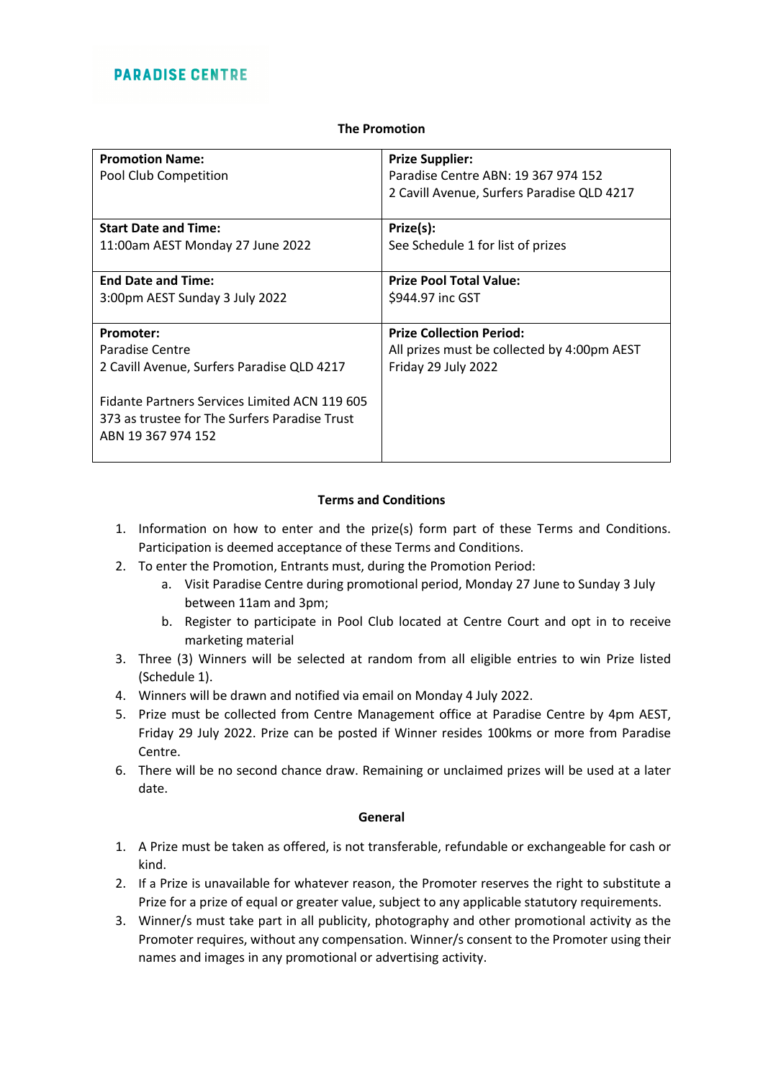### **The Promotion**

| <b>Promotion Name:</b>                        | <b>Prize Supplier:</b>                      |
|-----------------------------------------------|---------------------------------------------|
| Pool Club Competition                         | Paradise Centre ABN: 19 367 974 152         |
|                                               | 2 Cavill Avenue, Surfers Paradise QLD 4217  |
|                                               |                                             |
| <b>Start Date and Time:</b>                   |                                             |
|                                               | Prize(s):                                   |
| 11:00am AEST Monday 27 June 2022              | See Schedule 1 for list of prizes           |
|                                               |                                             |
| <b>End Date and Time:</b>                     | <b>Prize Pool Total Value:</b>              |
| 3:00pm AEST Sunday 3 July 2022                | \$944.97 inc GST                            |
|                                               |                                             |
| <b>Promoter:</b>                              | <b>Prize Collection Period:</b>             |
| Paradise Centre                               | All prizes must be collected by 4:00pm AEST |
| 2 Cavill Avenue, Surfers Paradise QLD 4217    | Friday 29 July 2022                         |
|                                               |                                             |
| Fidante Partners Services Limited ACN 119 605 |                                             |
| 373 as trustee for The Surfers Paradise Trust |                                             |
|                                               |                                             |
| ABN 19 367 974 152                            |                                             |
|                                               |                                             |

## **Terms and Conditions**

- 1. Information on how to enter and the prize(s) form part of these Terms and Conditions. Participation is deemed acceptance of these Terms and Conditions.
- 2. To enter the Promotion, Entrants must, during the Promotion Period:
	- a. Visit Paradise Centre during promotional period, Monday 27 June to Sunday 3 July between 11am and 3pm;
	- b. Register to participate in Pool Club located at Centre Court and opt in to receive marketing material
- 3. Three (3) Winners will be selected at random from all eligible entries to win Prize listed (Schedule 1).
- 4. Winners will be drawn and notified via email on Monday 4 July 2022.
- 5. Prize must be collected from Centre Management office at Paradise Centre by 4pm AEST, Friday 29 July 2022. Prize can be posted if Winner resides 100kms or more from Paradise Centre.
- 6. There will be no second chance draw. Remaining or unclaimed prizes will be used at a later date.

### **General**

- 1. A Prize must be taken as offered, is not transferable, refundable or exchangeable for cash or kind.
- 2. If a Prize is unavailable for whatever reason, the Promoter reserves the right to substitute a Prize for a prize of equal or greater value, subject to any applicable statutory requirements.
- 3. Winner/s must take part in all publicity, photography and other promotional activity as the Promoter requires, without any compensation. Winner/s consent to the Promoter using their names and images in any promotional or advertising activity.